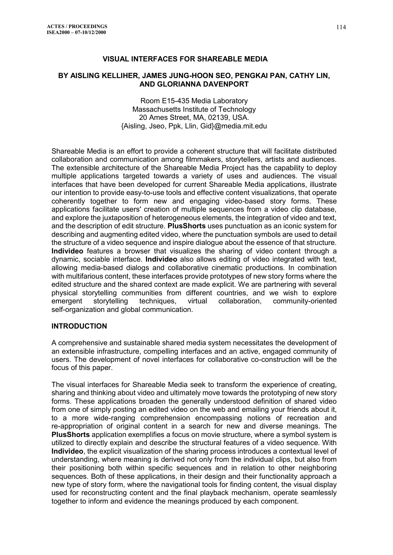## **VISUAL INTERFACES FOR SHAREABLE MEDIA**

#### **BY AISLING KELLIHER, JAMES JUNG-HOON SEO, PENGKAI PAN, CATHY LIN, AND GLORIANNA DAVENPORT**

Room E15-435 Media Laboratory Massachusetts Institute of Technology 20 Ames Street, MA, 02139, USA. {Aisling, Jseo, Ppk, Llin, Gid}@media.mit.edu

Shareable Media is an effort to provide a coherent structure that will facilitate distributed collaboration and communication among filmmakers, storytellers, artists and audiences. The extensible architecture of the Shareable Media Project has the capability to deploy multiple applications targeted towards a variety of uses and audiences. The visual interfaces that have been developed for current Shareable Media applications, illustrate our intention to provide easy-to-use tools and effective content visualizations, that operate coherently together to form new and engaging video-based story forms. These applications facilitate users' creation of multiple sequences from a video clip database, and explore the juxtaposition of heterogeneous elements, the integration of video and text, and the description of edit structure. **PlusShorts** uses punctuation as an iconic system for describing and augmenting edited video, where the punctuation symbols are used to detail the structure of a video sequence and inspire dialogue about the essence of that structure. **Individeo** features a browser that visualizes the sharing of video content through a dynamic, sociable interface. **Individeo** also allows editing of video integrated with text, allowing media-based dialogs and collaborative cinematic productions. In combination with multifarious content, these interfaces provide prototypes of new story forms where the edited structure and the shared context are made explicit. We are partnering with several physical storytelling communities from different countries, and we wish to explore emergent storytelling techniques, virtual collaboration, community-oriented self-organization and global communication.

#### **INTRODUCTION**

A comprehensive and sustainable shared media system necessitates the development of an extensible infrastructure, compelling interfaces and an active, engaged community of users. The development of novel interfaces for collaborative co-construction will be the focus of this paper.

The visual interfaces for Shareable Media seek to transform the experience of creating, sharing and thinking about video and ultimately move towards the prototyping of new story forms. These applications broaden the generally understood definition of shared video from one of simply posting an edited video on the web and emailing your friends about it, to a more wide-ranging comprehension encompassing notions of recreation and re-appropriation of original content in a search for new and diverse meanings. The **PlusShorts** application exemplifies a focus on movie structure, where a symbol system is utilized to directly explain and describe the structural features of a video sequence. With **Individeo**, the explicit visualization of the sharing process introduces a contextual level of understanding, where meaning is derived not only from the individual clips, but also from their positioning both within specific sequences and in relation to other neighboring sequences. Both of these applications, in their design and their functionality approach a new type of story form, where the navigational tools for finding content, the visual display used for reconstructing content and the final playback mechanism, operate seamlessly together to inform and evidence the meanings produced by each component.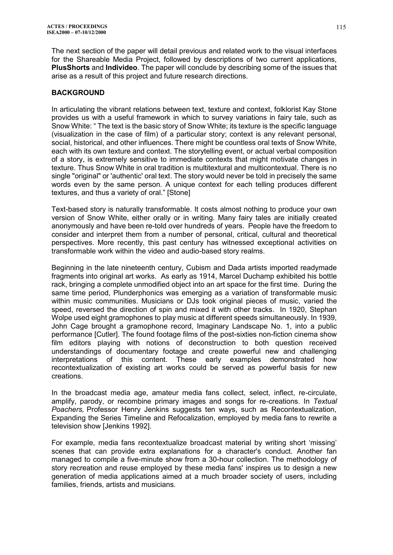The next section of the paper will detail previous and related work to the visual interfaces for the Shareable Media Project, followed by descriptions of two current applications, **PlusShorts** and **Individeo**. The paper will conclude by describing some of the issues that arise as a result of this project and future research directions.

# **BACKGROUND**

In articulating the vibrant relations between text, texture and context, folklorist Kay Stone provides us with a useful framework in which to survey variations in fairy tale, such as Snow White: " The text is the basic story of Snow White; its texture is the specific language (visualization in the case of film) of a particular story; context is any relevant personal, social, historical, and other influences. There might be countless oral texts of Snow White, each with its own texture and context. The storytelling event, or actual verbal composition of a story, is extremely sensitive to immediate contexts that might motivate changes in texture. Thus Snow White in oral tradition is multitextural and multicontextual. There is no single "original" or 'authentic' oral text. The story would never be told in precisely the same words even by the same person. A unique context for each telling produces different textures, and thus a variety of oral." [Stone]

Text-based story is naturally transformable. It costs almost nothing to produce your own version of Snow White, either orally or in writing. Many fairy tales are initially created anonymously and have been re-told over hundreds of years. People have the freedom to consider and interpret them from a number of personal, critical, cultural and theoretical perspectives. More recently, this past century has witnessed exceptional activities on transformable work within the video and audio-based story realms.

Beginning in the late nineteenth century, Cubism and Dada artists imported readymade fragments into original art works. As early as 1914, Marcel Duchamp exhibited his bottle rack, bringing a complete unmodified object into an art space for the first time. During the same time period, Plunderphonics was emerging as a variation of transformable music within music communities. Musicians or DJs took original pieces of music, varied the speed, reversed the direction of spin and mixed it with other tracks. In 1920, Stephan Wolpe used eight gramophones to play music at different speeds simultaneously. In 1939, John Cage brought a gramophone record, Imaginary Landscape No. 1, into a public performance [Cutler]. The found footage films of the post-sixties non-fiction cinema show film editors playing with notions of deconstruction to both question received understandings of documentary footage and create powerful new and challenging interpretations of this content. These early examples demonstrated how recontextualization of existing art works could be served as powerful basis for new creations.

In the broadcast media age, amateur media fans collect, select, inflect, re-circulate, amplify, parody, or recombine primary images and songs for re-creations. In *Textual Poachers,* Professor Henry Jenkins suggests ten ways, such as Recontextualization, Expanding the Series Timeline and Refocalization, employed by media fans to rewrite a television show [Jenkins 1992].

For example, media fans recontextualize broadcast material by writing short 'missing' scenes that can provide extra explanations for a character's conduct. Another fan managed to compile a five-minute show from a 30-hour collection. The methodology of story recreation and reuse employed by these media fans' inspires us to design a new generation of media applications aimed at a much broader society of users, including families, friends, artists and musicians.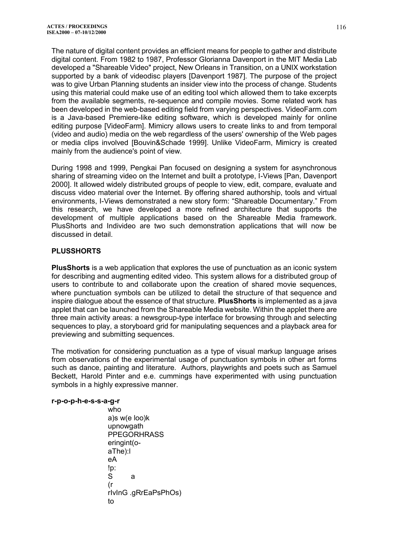The nature of digital content provides an efficient means for people to gather and distribute digital content. From 1982 to 1987, Professor Glorianna Davenport in the MIT Media Lab developed a "Shareable Video" project, New Orleans in Transition, on a UNIX workstation supported by a bank of videodisc players [Davenport 1987]. The purpose of the project was to give Urban Planning students an insider view into the process of change. Students using this material could make use of an editing tool which allowed them to take excerpts from the available segments, re-sequence and compile movies. Some related work has been developed in the web-based editing field from varying perspectives. VideoFarm.com is a Java-based Premiere-like editing software, which is developed mainly for online editing purpose [VideoFarm]. Mimicry allows users to create links to and from temporal (video and audio) media on the web regardless of the users' ownership of the Web pages or media clips involved [Bouvin&Schade 1999]. Unlike VideoFarm, Mimicry is created mainly from the audience's point of view.

During 1998 and 1999, Pengkai Pan focused on designing a system for asynchronous sharing of streaming video on the Internet and built a prototype, I-Views [Pan, Davenport 2000]. It allowed widely distributed groups of people to view, edit, compare, evaluate and discuss video material over the Internet. By offering shared authorship, tools and virtual environments, I-Views demonstrated a new story form: "Shareable Documentary." From this research, we have developed a more refined architecture that supports the development of multiple applications based on the Shareable Media framework. PlusShorts and Individeo are two such demonstration applications that will now be discussed in detail.

## **PLUSSHORTS**

**PlusShorts** is a web application that explores the use of punctuation as an iconic system for describing and augmenting edited video. This system allows for a distributed group of users to contribute to and collaborate upon the creation of shared movie sequences, where punctuation symbols can be utilized to detail the structure of that sequence and inspire dialogue about the essence of that structure. **PlusShorts** is implemented as a java applet that can be launched from the Shareable Media website. Within the applet there are three main activity areas: a newsgroup-type interface for browsing through and selecting sequences to play, a storyboard grid for manipulating sequences and a playback area for previewing and submitting sequences.

The motivation for considering punctuation as a type of visual markup language arises from observations of the experimental usage of punctuation symbols in other art forms such as dance, painting and literature. Authors, playwrights and poets such as Samuel Beckett, Harold Pinter and e.e. cummings have experimented with using punctuation symbols in a highly expressive manner.

#### **r-p-o-p-h-e-s-s-a-g-r**

who a)s w(e loo)k upnowgath PPEGORHRASS eringint(oaThe):l eA !p: S a (r rIvInG .gRrEaPsPhOs) to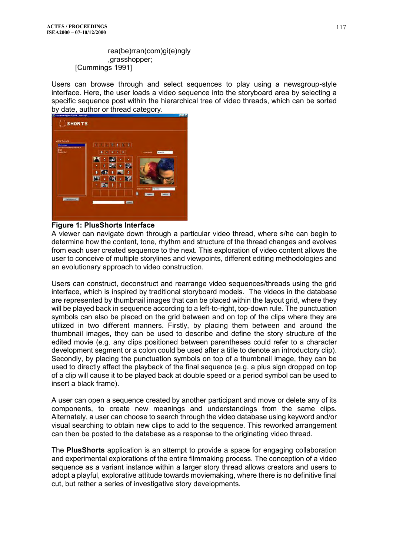#### rea(be)rran(com)gi(e)ngly ,grasshopper; [Cummings 1991]

Users can browse through and select sequences to play using a newsgroup-style interface. Here, the user loads a video sequence into the storyboard area by selecting a specific sequence post within the hierarchical tree of video threads, which can be sorted by date, author or thread category.



## **Figure 1: PlusShorts Interface**

A viewer can navigate down through a particular video thread, where s/he can begin to determine how the content, tone, rhythm and structure of the thread changes and evolves from each user created sequence to the next. This exploration of video content allows the user to conceive of multiple storylines and viewpoints, different editing methodologies and an evolutionary approach to video construction.

Users can construct, deconstruct and rearrange video sequences/threads using the grid interface, which is inspired by traditional storyboard models. The videos in the database are represented by thumbnail images that can be placed within the layout grid, where they will be played back in sequence according to a left-to-right, top-down rule. The punctuation symbols can also be placed on the grid between and on top of the clips where they are utilized in two different manners. Firstly, by placing them between and around the thumbnail images, they can be used to describe and define the story structure of the edited movie (e.g. any clips positioned between parentheses could refer to a character development segment or a colon could be used after a title to denote an introductory clip). Secondly, by placing the punctuation symbols on top of a thumbnail image, they can be used to directly affect the playback of the final sequence (e.g. a plus sign dropped on top of a clip will cause it to be played back at double speed or a period symbol can be used to insert a black frame).

A user can open a sequence created by another participant and move or delete any of its components, to create new meanings and understandings from the same clips. Alternately, a user can choose to search through the video database using keyword and/or visual searching to obtain new clips to add to the sequence. This reworked arrangement can then be posted to the database as a response to the originating video thread.

The **PlusShorts** application is an attempt to provide a space for engaging collaboration and experimental explorations of the entire filmmaking process. The conception of a video sequence as a variant instance within a larger story thread allows creators and users to adopt a playful, explorative attitude towards moviemaking, where there is no definitive final cut, but rather a series of investigative story developments.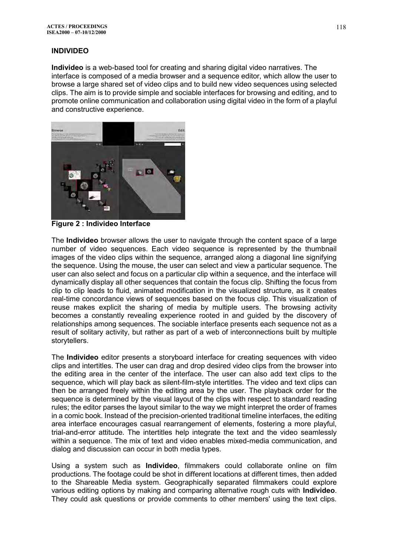## **INDIVIDEO**

**Individeo** is a web-based tool for creating and sharing digital video narratives. The interface is composed of a media browser and a sequence editor, which allow the user to browse a large shared set of video clips and to build new video sequences using selected clips. The aim is to provide simple and sociable interfaces for browsing and editing, and to promote online communication and collaboration using digital video in the form of a playful and constructive experience.



**Figure 2 : Individeo Interface** 

The **Individeo** browser allows the user to navigate through the content space of a large number of video sequences. Each video sequence is represented by the thumbnail images of the video clips within the sequence, arranged along a diagonal line signifying the sequence. Using the mouse, the user can select and view a particular sequence. The user can also select and focus on a particular clip within a sequence, and the interface will dynamically display all other sequences that contain the focus clip. Shifting the focus from clip to clip leads to fluid, animated modification in the visualized structure, as it creates real-time concordance views of sequences based on the focus clip. This visualization of reuse makes explicit the sharing of media by multiple users. The browsing activity becomes a constantly revealing experience rooted in and guided by the discovery of relationships among sequences. The sociable interface presents each sequence not as a result of solitary activity, but rather as part of a web of interconnections built by multiple storytellers.

The **Individeo** editor presents a storyboard interface for creating sequences with video clips and intertitles. The user can drag and drop desired video clips from the browser into the editing area in the center of the interface. The user can also add text clips to the sequence, which will play back as silent-film-style intertitles. The video and text clips can then be arranged freely within the editing area by the user. The playback order for the sequence is determined by the visual layout of the clips with respect to standard reading rules; the editor parses the layout similar to the way we might interpret the order of frames in a comic book. Instead of the precision-oriented traditional timeline interfaces, the editing area interface encourages casual rearrangement of elements, fostering a more playful, trial-and-error attitude. The intertitles help integrate the text and the video seamlessly within a sequence. The mix of text and video enables mixed-media communication, and dialog and discussion can occur in both media types.

Using a system such as **Individeo**, filmmakers could collaborate online on film productions. The footage could be shot in different locations at different times, then added to the Shareable Media system. Geographically separated filmmakers could explore various editing options by making and comparing alternative rough cuts with **Individeo**. They could ask questions or provide comments to other members' using the text clips.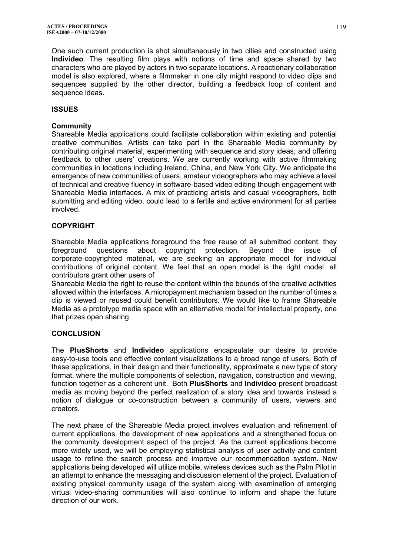One such current production is shot simultaneously in two cities and constructed using **Individeo**. The resulting film plays with notions of time and space shared by two characters who are played by actors in two separate locations. A reactionary collaboration model is also explored, where a filmmaker in one city might respond to video clips and sequences supplied by the other director, building a feedback loop of content and sequence ideas.

# **ISSUES**

# **Community**

Shareable Media applications could facilitate collaboration within existing and potential creative communities. Artists can take part in the Shareable Media community by contributing original material, experimenting with sequence and story ideas, and offering feedback to other users' creations. We are currently working with active filmmaking communities in locations including Ireland, China, and New York City. We anticipate the emergence of new communities of users, amateur videographers who may achieve a level of technical and creative fluency in software-based video editing though engagement with Shareable Media interfaces. A mix of practicing artists and casual videographers, both submitting and editing video, could lead to a fertile and active environment for all parties involved.

# **COPYRIGHT**

Shareable Media applications foreground the free reuse of all submitted content, they foreground questions about copyright protection. Beyond the issue of corporate-copyrighted material, we are seeking an appropriate model for individual contributions of original content. We feel that an open model is the right model: all contributors grant other users of

Shareable Media the right to reuse the content within the bounds of the creative activities allowed within the interfaces. A micropayment mechanism based on the number of times a clip is viewed or reused could benefit contributors. We would like to frame Shareable Media as a prototype media space with an alternative model for intellectual property, one that prizes open sharing.

## **CONCLUSION**

The **PlusShorts** and **Individeo** applications encapsulate our desire to provide easy-to-use tools and effective content visualizations to a broad range of users. Both of these applications, in their design and their functionality, approximate a new type of story format, where the multiple components of selection, navigation, construction and viewing, function together as a coherent unit. Both **PlusShorts** and **Individeo** present broadcast media as moving beyond the perfect realization of a story idea and towards instead a notion of dialogue or co-construction between a community of users, viewers and creators.

The next phase of the Shareable Media project involves evaluation and refinement of current applications, the development of new applications and a strengthened focus on the community development aspect of the project. As the current applications become more widely used, we will be employing statistical analysis of user activity and content usage to refine the search process and improve our recommendation system. New applications being developed will utilize mobile, wireless devices such as the Palm Pilot in an attempt to enhance the messaging and discussion element of the project. Evaluation of existing physical community usage of the system along with examination of emerging virtual video-sharing communities will also continue to inform and shape the future direction of our work.